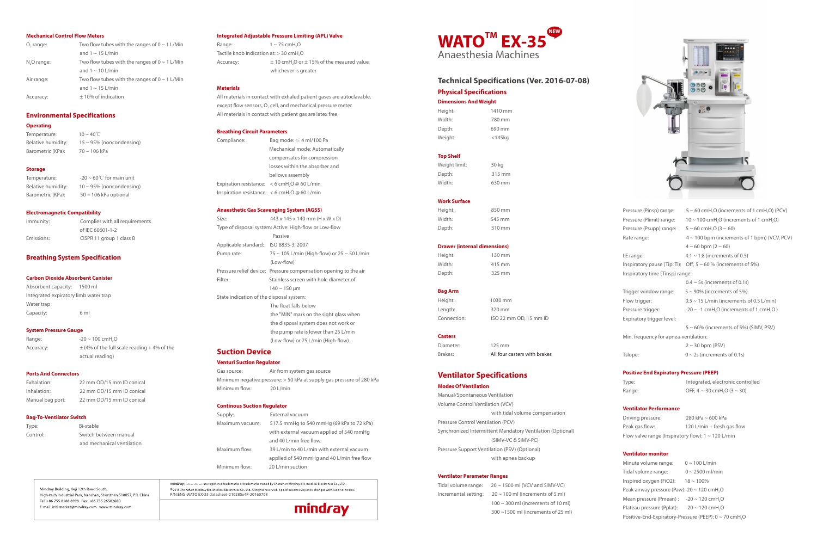# **Dimensions And Weight**

| Height: | 1410 mm      |
|---------|--------------|
| Width:  | 780 mm       |
| Depth:  | 690 mm       |
| Weight: | $<$ 145 $kg$ |
|         |              |

## **Top Shelf**

| Weight limit: | 30 kg  |
|---------------|--------|
| Depth:        | 315 mm |
| Width:        | 630 mm |

#### **Work Surface**

| Height: | 850 mm |
|---------|--------|
| Width:  | 545 mm |
| Depth:  | 310 mm |

#### **Drawer (internal dimensions)**

| Height: | 130 mm |
|---------|--------|
| Width:  | 415 mm |
| Depth:  | 325 mm |

#### **Bag Arm**

Height: 1030 mm Length: 320 mm

Connection: ISO 22 mm OD, 15 mm ID

#### **Casters**

Diameter: 125 mm

Brakes: All four casters with brakes

# **Ventilator Specifications**

## **Modes Of Ventilation**

Tidal volume range:  $20 \sim 1500$  ml (VCV and SIMV-VC) 100 ml (increments of 5 ml) 300 ml (increments of 10 ml) 300 ~1500 ml (increments of 25 ml)

| mı                                                                                                                                     |
|----------------------------------------------------------------------------------------------------------------------------------------|
| en Mindray Bio-Medical Electronics Co., Ltd. All rights reserved. Specifications subject to<br>/ATO EX-35 datasheet-210285x4P-20160708 |
|                                                                                                                                        |



Manual/Spontaneous Ventilation Volume Control Ventilation (VCV) with tidal volume compensation Pressure Control Ventilation (PCV) Synchronized Intermittent Mandatory Ventilation (Optional) (SIMV-VC & SiMV-PC) Pressure Support Ventilation (PSV) (Optional) with apnea backup

#### **Ventilator Parameter Ranges**

| idal volume range:              | $20 \sim 1$ |
|---------------------------------|-------------|
| ncremental setting: $20 \sim 7$ |             |
|                                 | $100 \sim$  |
|                                 | $300 \sim$  |

Type: Integrated, electronic controlled Range: OFF,  $4 \sim 30$  cmH, O  $(3 \sim 30)$ 

# **Physical Specifications Technical Specifications (Ver. 2016-07-08)**

| Pressure (Pinsp) range:               | $5 \sim 60$ cmH <sub>2</sub> O (increments of 1 cmH <sub>2</sub> O) (PCV) |
|---------------------------------------|---------------------------------------------------------------------------|
| Pressure (Plimit) range:              | $10 \sim 100$ cmH,O (increments of 1 cmH,O)                               |
| Pressure (Psupp) range:               | $5 \sim 60$ cmH, O $(3 \sim 60)$                                          |
| Rate range:                           | $4 \sim 100$ bpm (increments of 1 bpm) (VCV, PCV)                         |
|                                       | $4 \sim 60$ bpm $(2 \sim 60)$                                             |
| I:E range:                            | $4:1 \sim 1:8$ (increments of 0.5)                                        |
|                                       | Inspiratory pause (Tip: Ti): Off, $5 \sim 60$ % (increments of 5%)        |
| Inspiratory time (Tinsp) range:       |                                                                           |
|                                       | $0.4 \sim 5$ s (increments of 0.1s)                                       |
| Trigger window range:                 | $5 \sim 90\%$ (increments of 5%)                                          |
| Flow trigger:                         | $0.5 \sim 15$ L/min (increments of 0.5 L/min)                             |
| Pressure trigger:                     | $-20 \sim -1$ cmH <sub>2</sub> O (increments of 1 cmH <sub>2</sub> O)     |
| Expiratory trigger level:             |                                                                           |
|                                       | $5 \sim 60\%$ (increments of 5%) (SIMV, PSV)                              |
| Min. frequency for apnea-ventilation: |                                                                           |
|                                       | $2 \sim 30$ bpm (PSV)                                                     |
| Tslope:                               | $0 \sim 2$ s (increments of 0.1s)                                         |
|                                       |                                                                           |

Temperature: 10 ~ 40℃ Relative humidity:  $15 \approx 95\%$  (noncondensing) Barometric (KPa):  $70 \sim 106$  kPa

## **Positive End Expiratory Pressure (PEEP)**

## **Ventilator Performance**

Range:  $1 \sim 75 \text{ cmH, O}$ Tactile knob indication at: > 30 cmH<sub>2</sub>O Accuracy:  $\pm 10 \text{ cm}$ H<sub>2</sub>O or  $\pm 15$ % of the meaured value, whichever is greater

| Driving pressure:                                       | 280 kPa $\sim$ 600 kPa     |
|---------------------------------------------------------|----------------------------|
| Peak gas flow:                                          | 120 L/min + fresh gas flow |
| Flow valve range (Inspiratory flow): $1 \sim 120$ L/min |                            |

### **Ventilator monitor**

| Minute volume range:                                         | $0 \sim 100$ L/min                                                 |
|--------------------------------------------------------------|--------------------------------------------------------------------|
| Tidal volume range:                                          | $0 \sim 2500$ ml/min                                               |
| Inspired oxygen (FiO2):                                      | $18 \sim 100\%$                                                    |
| Peak airway pressure (Paw):-20 $\sim$ 120 cmH <sub>2</sub> O |                                                                    |
| Mean pressure (Pmean): $-20 \sim 120$ cmH <sub>2</sub> O     |                                                                    |
| Plateau pressure (Pplat):                                    | $-20 \sim 120$ cmH <sub>2</sub> O                                  |
|                                                              | Positive-End-Expiratory-Pressure (PEEP): 0 ~ 70 cmH <sub>2</sub> O |

## **Mechanical Control Flow Meters**

Gas source: Air from system gas source Minimum negative pressure: > 50 kPa at supply gas pressure of 280 kPa Minimum flow: 20 L/min

| O <sub>2</sub> range:   | Two flow tubes with the ranges of $0 \sim 1$ L/Min |
|-------------------------|----------------------------------------------------|
|                         | and $1 \sim 15$ L/min                              |
| N <sub>v</sub> O range: | Two flow tubes with the ranges of $0 \sim 1$ L/Min |
|                         | and $1 \sim 10$ L/min                              |
| Air range:              | Two flow tubes with the ranges of $0 \sim 1$ L/Min |
|                         | and $1 \sim 15$ L/min                              |
| Accuracy:               | $\pm$ 10% of indication                            |

## **Environmental Specifications**

## **Operating**

#### **Storage**

| Temperature:       | $-20 \sim 60^{\circ}$ C for main unit |
|--------------------|---------------------------------------|
| Relative humidity: | $10 \sim 95\%$ (noncondensing)        |
| Barometric (KPa):  | $50 \sim 106$ kPa optional            |

#### **Electromagnetic Compatibility**

| Immunity:  | Complies with all requirements |
|------------|--------------------------------|
|            | of IEC 60601-1-2               |
| Emissions: | CISPR 11 group 1 class B       |

# **Breathing System Specification**

# **Carbon Dioxide Absorbent Canister**

| Absorbent capacity: 1500 ml           |      |
|---------------------------------------|------|
| Integrated expiratory limb water trap |      |
| Water trap                            |      |
| Capacity:                             | 6 ml |

#### **System Pressure Gauge**

| Range:    | $-20 \sim 100$ cmH,O                           |
|-----------|------------------------------------------------|
| Accuracy: | $\pm$ (4% of the full scale reading +4% of the |
|           | actual reading)                                |

#### **Ports And Connectors**

| Exhalation:      | 22 mm OD/15 mm ID conical |
|------------------|---------------------------|
| Inhalation:      | 22 mm OD/15 mm ID conical |
| Manual bag port: | 22 mm OD/15 mm ID conical |

Mindray Building, Keji 12th Road South,

Tel: +86 755 8188 8998 Fax: +86 755 26582680

E-mail: intl-market@mindray.com www.mindray.com

## **Bag-To-Ventilator Switch**

| Type:    |  |
|----------|--|
| Control: |  |

| Type:    | Bi-stable                  |
|----------|----------------------------|
| Control: | Switch between manual      |
|          | and mechanical ventilation |

High-tech Industrial Park, Nanshan, Shenzhen 518057, P.R. China

# **Integrated Adjustable Pressure Limiting (APL) Valve**

#### **Materials**



All materials in contact with exhaled patient gases are autoclavable, except flow sensors,  $O_2$  cell, and mechanical pressure meter. All materials in contact with patient gas are latex free.

#### **Breathing Circuit Parameters**

| Compliance: | Bag mode: $\leq 4$ ml/100 Pa                   |
|-------------|------------------------------------------------|
|             | Mechanical mode: Automatically                 |
|             | compensates for compression                    |
|             | losses within the absorber and                 |
|             | bellows assembly                               |
|             | Expiration resistance: $<$ 6 cmH,O @ 60 L/min  |
|             | Inspiration resistance: $<$ 6 cmH,O @ 60 L/min |

#### **Anaesthetic Gas Scavenging System (AGSS)**

| Size:                                    | 443 x 145 x 140 mm (H x W x D)                                   |
|------------------------------------------|------------------------------------------------------------------|
|                                          | Type of disposal system: Active: High-flow or Low-flow           |
|                                          | Passive                                                          |
| Applicable standard: ISO 8835-3: 2007    |                                                                  |
| Pump rate:                               | 75 ~ 105 L/min (High-flow) or $25 \sim 50$ L/min                 |
|                                          | (Low-flow)                                                       |
|                                          | Pressure relief device: Pressure compensation opening to the air |
| Filter:                                  | Stainless screen with hole diameter of                           |
|                                          | $140 \sim 150 \,\rm \mu m$                                       |
| State indication of the disposal system: |                                                                  |
|                                          | The float falls below                                            |
|                                          | the "MIN" mark on the sight glass when                           |
|                                          | the disposal system does not work or                             |
|                                          | the pump rate is lower than 25 L/min                             |
|                                          | (Low-flow) or 75 L/min (High-flow).                              |
|                                          |                                                                  |

# **Suction Device**

# **Venturi Suction Regulator**

#### **Continous Suction Regulator**

| Supply:         | External vacuum                            |
|-----------------|--------------------------------------------|
| Maximum vacuum: | 517.5 mmHg to 540 mmHg (69 kPa to 72 kPa)  |
|                 | with external vacuum applied of 540 mmHq   |
|                 | and 40 L/min free flow.                    |
| Maximum flow:   | 39 L/min to 40 L/min with external vacuum  |
|                 | applied of 540 mmHg and 40 L/min free flow |
| Minimum flow:   | 20 L/min suction                           |

mindray $|$ vned by Shenzhen Mindray Bio-medical Electronics Co., LTD. © 2015 Shen: o changes without prior notice.  $P/N:ENG-W$ 

mindray